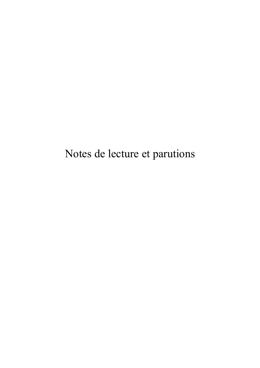Notes de lecture et parutions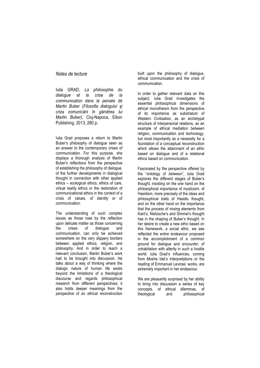*Notes de lecture*

Iulia GRAD, *La philosophie du dialogue et la crise de la communication dans la pensée de Martin Buber* (*Filosofia dialogului şi criza comunicării în gândirea lui Martin Buber)*, Cluj-Napoca, Eikon Publishing, 2013, 280 p.

Iulia Grad proposes a return to Martin Buber's philosophy of dialogue seen as an answer to the contemporary crises of communication. For this purpose, she displays a thorough analysis of Martin Buber's reflections from the perspective of establishing the philosophy of dialogue, of the further developments in dialogical thought in connection with other applied ethics – ecological ethics, ethics of care, virtual reality ethics or the restoration of communicational ethics in the context of a crisis of values, of identity or of communication.

The understanding of such complex issues as those rose by the reflection upon delicate matter as those concerning the crises of dialogue and communication, can only be achieved somewhere on the very slippery borders between applied ethics, religion, and philosophy. And in order to reach a relevant conclusion, Martin Buber's work had to be brought into discussion. He talks about a way of thinking where the dialogic nature of human life exists beyond the limitations of a theological discourse and regards philosophical research from different perspectives; it also holds deeper meanings from the perspective of an ethical reconstruction

built upon the philosophy of dialogue, ethical communication and the crisis of communication.

In order to gather relevant data on this subject, Iulia Grad investigates the essential philosophical dimensions of ethical monotheism from the perspective of its importance as substratum of Western Civilisation, as an archetypal structure of interpersonal relations, as an example of ethical mediation between religion, communication and technology, but most importantly as a necessity for a foundation of a conceptual reconstruction which allows the attainment of an ethic based on dialogue and of a relational ethics based on communication.

Fascinated by the perspective offered by the "ontology of *between*", Iulia Grad explores the different stages of Buber's thought, insisting on the one hand on the philosophical importance of mysticism, of Hasidism, more precisely of the ideas and philosophical traits of Hasidic thought, and on the other hand on the importance that the process of mixing elements from Kant's, Nietzsche's and Simmel's thought has in the shaping of Buber's thought. In her desire to create a new ethic based on this framework, a social ethic, we see reflected the entire endeavour proposed in the accomplishment of a common ground for dialogue and encounter, of cohabitation with alterity in such a hostile world. Iulia Grad's influences, coming from Moshe Idel's interpretations or the reading of Emmanuel Levinas' works, are extremely important in her endeavour.

We are pleasantly surprised by her ability to bring into discussion a series of key concepts, of ethical dilemmas, of theological and philosophical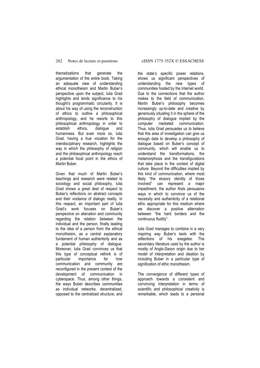## 262 Notes de lecture et parutions eISSN 1775-352X © ESSACHESS

thematizations that generate the argumentation of the entire book. Taking an adequate view of understanding ethical monotheism and Martin Buber's perspective upon the subject, Iulia Grad highlights and lends significance to his thought's programmatic circularity. It is about his way of using the reconstruction of ethics to outline a philosophical anthropology, and he resorts to this philosophical anthropology in order to establish ethics, dialogue and humanness. But even more so, Iulia Grad, having a true vocation for the interdisciplinary research, highlights the way in which the philosophy of religion and the philosophical anthropology reach a potential focal point in the ethics of Martin Buber.

Given that much of Martin Buber's teachings and research were related to sociology and social philosophy, Iulia Grad shows a great deal of respect to Buber's reflections on abstract concepts and their voidance of dialogic reality. In this respect, an important part of Iulia Grad's work focuses on Buber's perspective on alienation and community regarding the relation between the individual and the person, finally leading to the idea of a person from the ethical monotheism, as a central explanatory fundament of human authenticity and as a potential philosophy of dialogue. Moreover, Iulia Grad convinces us that this type of conceptual rethink is of particular importance for how communication and community are reconfigured in the present context of the development of communication in cyberspace. Thus, among other things, the ways Buber describes communities as individual networks, decentralized, opposed to the centralized structure, and

the state's specific power relations, shows us significant perspectives of understanding the new types of communities hosted by the Internet world. Due to the connections that the author makes to the field of communication, Martin Buber's philosophy becomes increasingly up-to-date and creative by generously situating it in the sphere of the philosophy of dialogue implied by the computer mediated communication. Thus, Iulia Grad persuades us to believe that this area of investigation can give us enough data to develop a philosophy of dialogue based on Buber's concept of community, which will enable us to understand the transformations, the metamorphosis and the transfigurations that take place in the context of digital culture. Beyond the difficulties implied by this kind of communication, where most likely "the elusory identity of those involved" can represent a major impediment, the author finds persuasive ways in which to convince us of the necessity and authenticity of a relational ethic appropriate for this medium where we discover a positive alternation between "the hard borders and the continuous fluidity".

Iulia Grad manages to combine in a very inspiring way Buber's texts with the reflections of his exegetes. The secondary literature used by the author is mostly of Anglo-Saxon origin due to her model of interpretation and ideation by including Buber in a particular type of signification of ethic monotheism.

The convergence of different types of approach towards a consistent and convincing interpretation in terms of scientific and philosophical creativity is remarkable, which leads to a personal